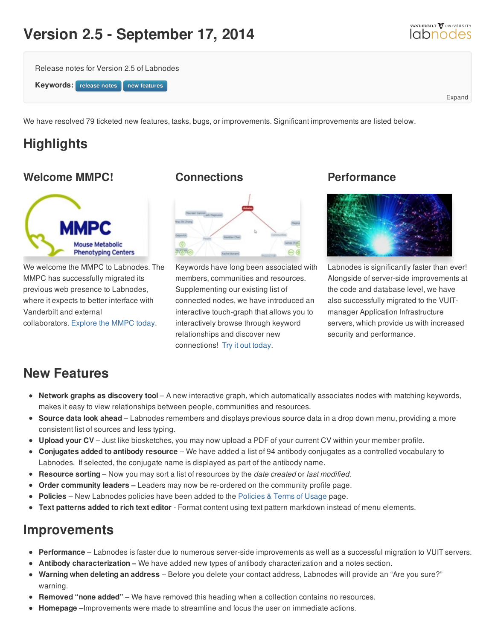# **Version 2.5 - September 17, 2014**





We have resolved 79 ticketed new features, tasks, bugs, or improvements. Significant improvements are listed below.

# **Highlights**

#### **Welcome MMPC!**



We welcome the MMPC to Labnodes. The MMPC has successfully migrated its previous web presence to Labnodes, where it expects to better interface with Vanderbilt and external collaborators. [Explore](https://labnodes.vanderbilt.edu/community/profile/id/1418) the MMPC today.

#### **Connections**



Keywords have long been associated with members, communities and resources. Supplementing our existing list of connected nodes, we have introduced an interactive touch-graph that allows you to interactively browse through keyword relationships and discover new connections! Try it out [today](/community/keywords/keyword_id/941/keyword_name/Mouse/id/1418).

#### **Performance**



Labnodes is significantly faster than ever! Alongside of server-side improvements at the code and database level, we have also successfully migrated to the VUITmanager Application Infrastructure servers, which provide us with increased security and performance.

## **New Features**

- **Network graphs as discovery tool** A new interactive graph, which automatically associates nodes with matching keywords, makes it easy to view relationships between people, communities and resources.
- **Source data look ahead** Labnodes remembers and displays previous source data in a drop down menu, providing a more consistent list of sources and less typing.
- **Upload your CV** Just like biosketches, you may now upload a PDF of your current CV within your member profile.
- **Conjugates added to antibody resource** We have added a list of 94 antibody conjugates as a controlled vocabulary to Labnodes. If selected, the conjugate name is displayed as part of the antibody name.
- **Resource sorting** Now you may sort a list of resources by the *date created* or *last modified*.
- **Order community leaders –** Leaders may now be re-ordered on the community profile page.
- **Policies** New Labnodes policies have been added to the [Policies](/about/usage) & Terms of Usage page.
- **Text patterns added to rich text editor** Format content using text pattern markdown instead of menu elements.

### **Improvements**

- **Performance** Labnodes is faster due to numerous server-side improvements as well as a successful migration to VUIT servers.
- **Antibody characterization –** We have added new types of antibody characterization and a notes section.
- **Warning when deleting an address** Before you delete your contact address, Labnodes will provide an "Are you sure?" warning.
- **Removed "none added"** We have removed this heading when a collection contains no resources.
- **Homepage –**Improvements were made to streamline and focus the user on immediate actions.



Expand